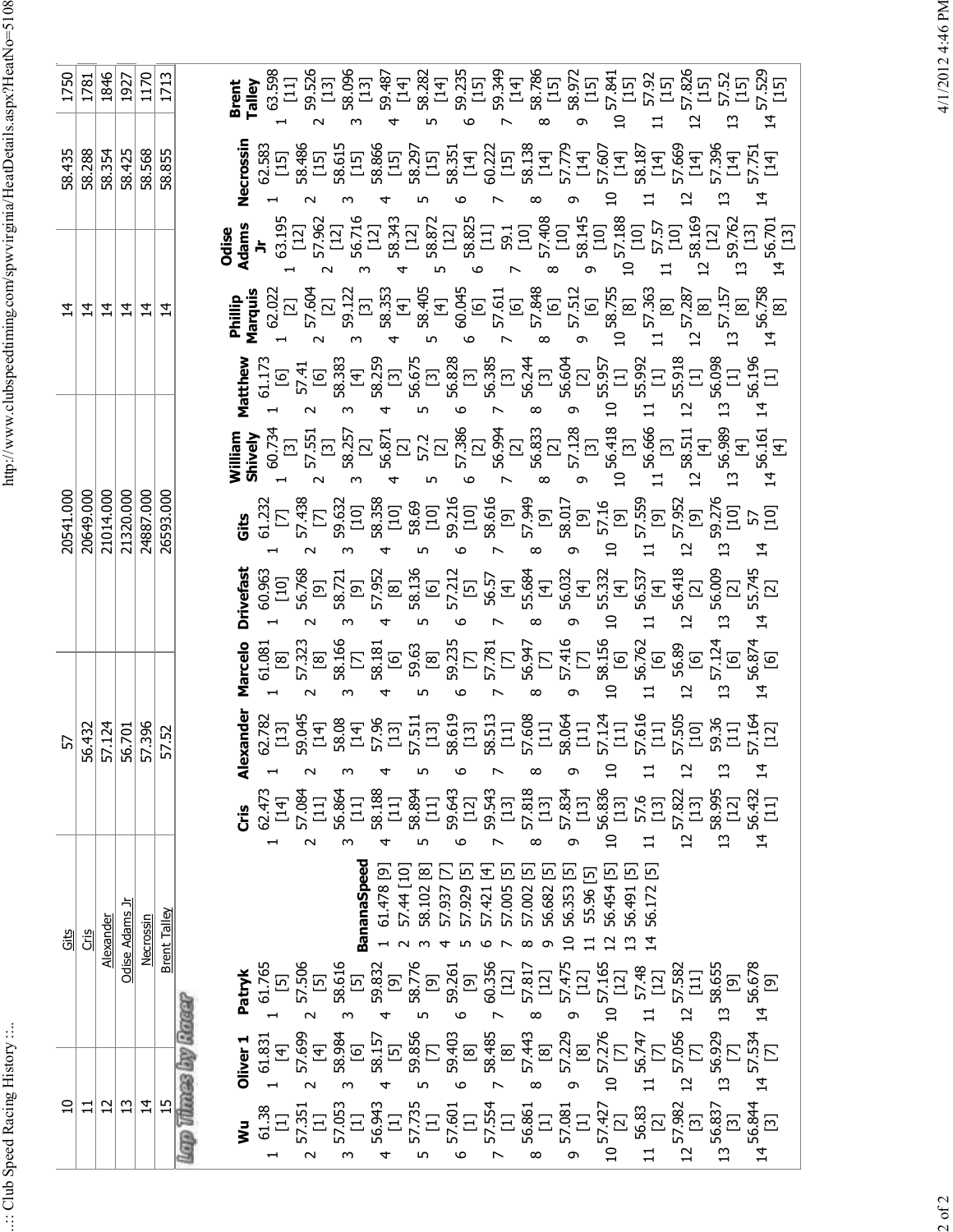.:: Club Speed Racing History ::..

http://www.clubspeedtiming.com/spwvirginia/HeatDetails.aspx?HeatNo=5108 ..:: Club Speed Racing History ::.. http://www.clubspeedtiming.com/spwvirginia/HeatDetails.aspx?HeatNo=5108

1846 1713 14 57.529<br>[15] 1170 63.598 [11] 59.526 [13] 58.1985 12<br>89.1985 12:335 13:34 13:34<br>8.1985 13:35 13:36 13:36 13:36 13:16<br>8.1985 13:36 13:36 13:36 13:16 1750 1781 1927 10 Gits 57 20541.000 14 58.435 1750 11 Cris 56.432 20649.000 20049.000 14 58.288 1781<br>1781 - Alexandre Friday 12 Alexander 57.124 21014.000 14 1846<br>1346 - Alexander 57.124 21014.000 14 1846 58.354 1846<br>13 13 Odise Adams <u>Jr</u> 56.701 21320.000 14 14 58.425 1927<br>14 14 18:425 1927<br>1700 1170 14 Necrossin 57.396 24887.000 14 58.568 1170 15 Brent Talley 57.52 26593.000 14 14 38.855 1713<br>Accord Providences **Brent Talley**  $\sim$ ო 4 ເກ 6 $\check{ }$ 00 თ  $\mathbf -$ **Necrossin** 58.187<br>[14] 57.669<br>[14] 58.435<br>58.288<br>58.354 58.425 58.568 58.855 62.583 [15] 58.486 [15] 58.615 [15] 58.866 [15] 58.297 [15] 58.351 [14] 60.222 [15] 58.138 [14] 57.779 [14] 10 57.607 [14] 13 57.396<br>[14]<br>14 57.751<br>[14]  $\mathbf \sim$ ო 4ഹ 6r 00 თ 14 56.701<br>[13] 1 63.195 [12] 2 57.962 [12] 3 56.716 [12] 4 58.343 [12] 5 58.872 [12] 6 58.825 [11] 7 59.1 [10] 8 57.408 [10] 9 58.145 [10] 10 57.188 [10] 11 57.57 [10] 12 58.169 [12] 13 59.762 [13] **Odise Adams Jr** 14 56.758<br>[8] 13 57.157 [8] **Philip**<br> **Marquis**<br>
1 62.022 [2] 23 58.353<br>
1 7 59.122 58.353 [4]<br>
4 58.354 56.511 [5] 58.755<br>
6 58.755 [6] 58.755<br>
6 58.755 [6] 58.755<br>
8 58.755 [6] 58.755 11 <sup>57.363</sup><br>[8]<br>12 57.287<br>12 [8] <u> 지지</u>  $\overline{4}$  $\frac{1}{4}$  $\overline{4}$ 55.918<br>[1] 13 56.098 [1] 56.196<br>[1] **Matthew** 1 61.173 [6] 2 57.41 [6] 3 58.383 [4] 4 58.259 [3] 5 56.675 [3] 6 56.828 [3] 7 56.385 [3] 8 56.244 [3] 9 56.604 [2] 10 55.957 [1] 11 55.992 [1]  $14 \frac{56.161}{[4]}$ 1 7 8 56.87 [3]<br>2 5 5 56.87 [3] 5 56.98 [3] 56.87<br>2 5 56.87 [3] 5 56.98 [3] 56.87<br>2 5 56.87 [3] 56.98 [3] 56.87 [3] 11 56.666<br>13 58.511<br>12 56.989<br>13 13 **William Shively** 20541.000 20649.000 21014.000 21320.000 24887.000 26593.000 **Gits** 1 61.232 [7] 2 57.438 [7] 3 59.632 [10] 4 58.358 [10] 5 58.69 [10] 6 59.216 [10] 7 58.616 [9] 8 57.949 [9] 9 58.017 [9] 10 57.16 [9] 11 57.559 [9] 12 57.952 [9] 13 59.276<br>[10]<br>14 [10]<br>[10] 14 55.745 [2] **Drivefast** 60.963 [10] 56.768 [9] 58.721 [9] 57.952 [8] 58.136 [6] 57.212 [5] 56.57 [4] 55.684 [4] 56.032 [4] 10 55.332 [4] 11 56.537 [4] 12 56.418 [2] 56.009<br>[2] 4 $\mathbf \sim$ ო ഹ 6r  $^{\circ}$ თ **Marcelo** 57.124<br>[6] 14 56.874<br>[6] 61.081 [8] 57.323 [8] 58.166 [7] 58.181 [6] 59.63 [8] 59.235 [7] 57.781 [7] 56.947 [7] 57.416 [7] 10 58.156 [6] 11 56.762 [6] 12 56.89 [6] 4 $\mathbf \sim$ ო ഹ 6r  $^{\circ}$ თ **Alexander** 62.782 [13] 59.045 [14] 58.08 [14] 57.96 [13] 57.511 [13] 58.619 [13] 58.513 [11] 57.608 [11] 58.064 [11] 10 57.124 [11] 11 57.616 [11] 12 57.505 [10] 13 59.36 [11] 57.164<br>[12] 57.396<br>57.52 56.432 57.124 56.701 57  $\sim$ 4ഹ 6r  $^{\circ}$ თ  $\mathbf$ ო 56.836<br>[13] 12 57.822 [13] 13 58.995 [12] 56.432<br>[11] 62.473 [14] 57.084 [11] 56.864 [11] 58.188 [11] 58.894 [11] 59.643 [12] 59.543 [13] 57.818 [13] 57.834 [13] 57.6<br>[13] **Cris**  $\sim$ 4ഹ 6r  $^{\circ}$ თ  $\mathbf$ ო 3 58.102 [8] 13 56.491 [5] **BananaSpeed** 1 61.478 [9] 2 57.44 [10] 4 57.937 [7] 5 57.929 [5]<br>6 57.421 [4]<br>6 57.005 [5] [5]<br>7 57.002 [5] [5]<br>8 56.682 [5] [5]<br>8 56.454 [5]<br>11 56.454 [5]<br>11 56.454 [5] 56.172 Odise Adams Jr **Brent Talley** Alexander Necrossin  $CriS$ Gitg 13 58.655 [9] 14 56.678 [9] 57.48<br>[12]  $12\frac{57.582}{[11]}$ **Patry**<br>1 61.765 [5] 38.616 [5] 38.835 [5]<br>2 58.616 [5] 38.835 [5] 38.776<br>4 50.816 [5] 38.776 [5] 38.776 [5] 4 50.8176 [5] 38.776 [12] resert day secup day  $12\frac{57.056}{[7]}$  $14\frac{57.534}{[7]}$ 13 56.929 [7] **Oliver 1**  $11 \frac{56.747}{[7]}$ 1 61.831<br>1 [4]<br>2 57.699<br>3 58.984<br>3 58.984 4 58.157<br>5 59.856 [7]<br>5 59.856 [8] 57.276<br>6 59.485 [8] 57.276<br>6 58.485 [8] 57.276<br>6 58.437 [7] 57.276  $\sim$  $\mathbf$ ო  $14\frac{56.844}{[3]}$  $\frac{12}{13}$  $\left| \vec{r} \right|$  $15$  $13\frac{56.837}{[3]}$  $\overline{a}$  $\Xi$ 1 7 8 57.551 8 57.561 57.561 57.561 57.561 57.561 57.561 57.561 57.561 57.561 57.561 57.561 57.561 57.561 57.5<br>1 57.551 57.551 57.551 57.551 57.561 57.561 57.561 57.561 57.561 57.561 57.561 57.561 57.561 57.561 57.561 57.<br> **Wu**

 $2$  of  $2$ 

4/1/2012 4:46 PM 2 of 2 d+:46 PMN 4/1/2012 4:46 PM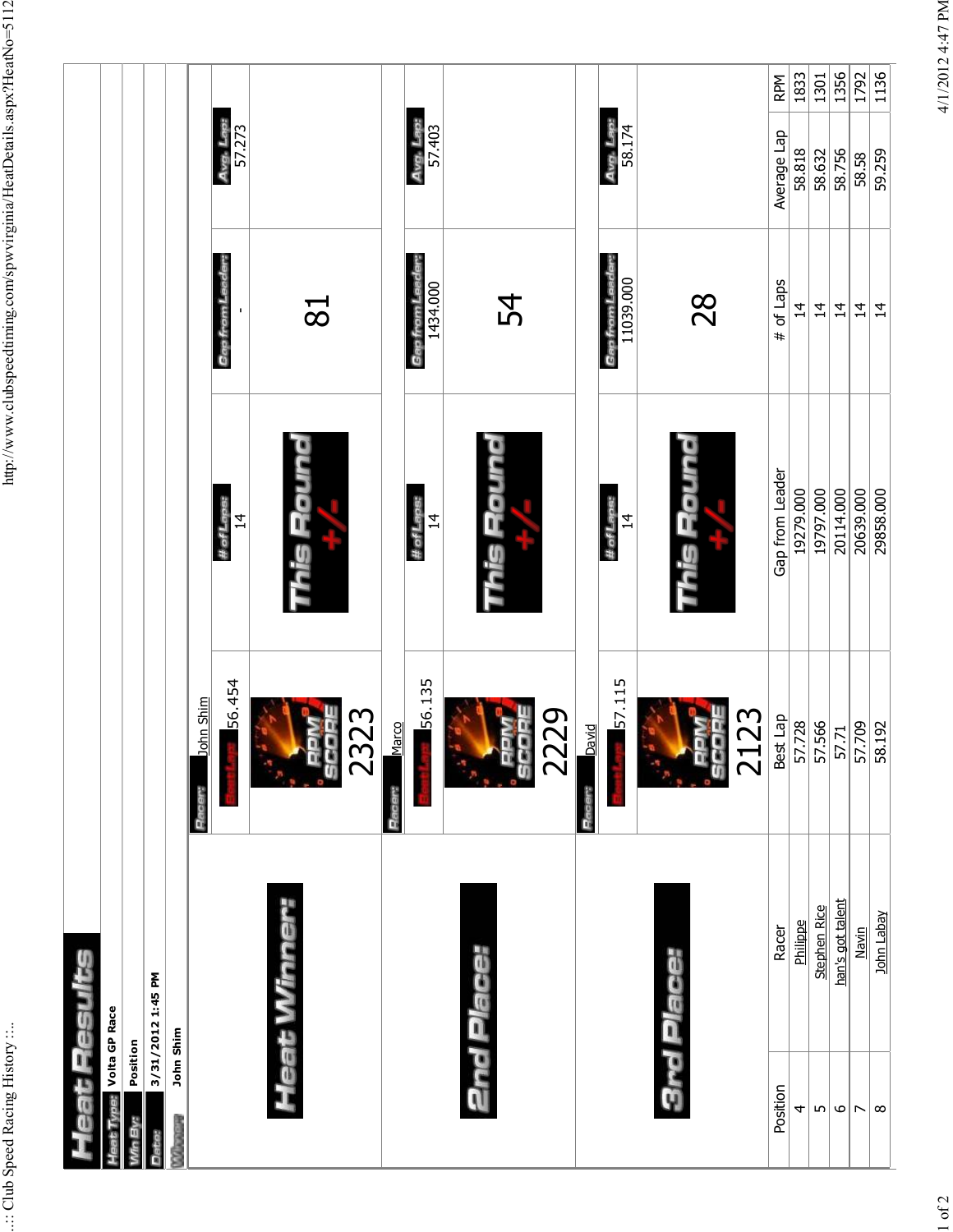| eat Results                   |                  |                  |                              |                                     |                     |      |
|-------------------------------|------------------|------------------|------------------------------|-------------------------------------|---------------------|------|
| <b>b</b> Type: Volta GP Race  |                  |                  |                              |                                     |                     |      |
| Position                      |                  |                  |                              |                                     |                     |      |
| 3/31/2012 1:45 PM             |                  |                  |                              |                                     |                     |      |
| John Shim<br><b>RADIOGRAP</b> |                  |                  |                              |                                     |                     |      |
|                               |                  | John Shim<br>Pac |                              |                                     |                     |      |
|                               |                  | 56.454           | # of Laps:<br>$\overline{4}$ | Gap from Lead<br>$\mathbf I$        | Avg. Lap:<br>57.273 |      |
| Heat Winner:                  |                  | U)               |                              | 81                                  |                     |      |
|                               |                  | 2323<br>Marco    |                              |                                     |                     |      |
|                               |                  | 56.135           | # of Laps:<br>$\overline{4}$ | <b>Gap from Leader:</b><br>1434.000 | Avg. Lap:<br>57.403 |      |
| <b>2nd Place:</b>             |                  | 2229<br>9<br>U   | his Flo                      | 54                                  |                     |      |
|                               |                  | David<br>ů       |                              |                                     |                     |      |
|                               |                  | 57.115           | # of Laps:<br>$\vec{a}$      | Gap from Lead<br>11039.000          | 58.174<br>Avg.      |      |
| 3rd Place:                    |                  | 2123             | unce er                      | 28                                  |                     |      |
| Position                      | Racer            | Best Lap         | Gap from Leader              | # of Laps                           | Average Lap         | RPM  |
| 4                             | Philippe         | 57.728           | 19279.000                    | $\overline{4}$                      | 58.818              | 1833 |
| $\lfloor n \rfloor$           | Stephen Rice     | 57.566           | 19797.000                    | $\overline{4}$                      | 58.632              | 1301 |
| $\mathbf \omega$              | han's got talent | 57.71            | 20114.000                    | $\frac{1}{4}$                       | 58.756              | 1356 |
| $\overline{\phantom{a}}$      | Navin            | 57.709           | 20639.000                    | $\overline{4}$                      | 58.58               | 1792 |
| $\infty$                      | John Labay       | 58.192           | 29858.000                    | $\overline{4}$                      | 59.259              | 1136 |